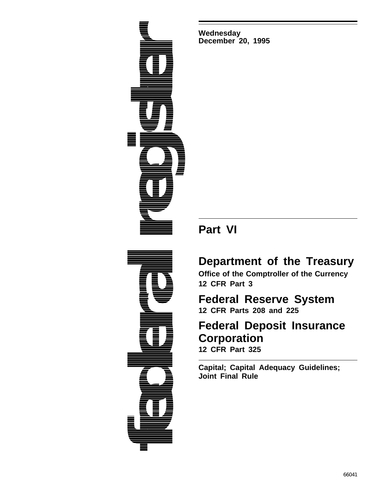**federal register**<br>Afgoring and Marie and Marie and Marie and Marie and Marie and Marie and Marie and Marie and Marie and Marie an<br>Andrew and Marie and Marie and Marie and Marie and Marie and Marie and Marie and Marie and

**Wednesday December 20, 1995**

# **Part VI**

# **Department of the Treasury**

**Office of the Comptroller of the Currency 12 CFR Part 3**

# **Federal Reserve System 12 CFR Parts 208 and 225**

# **Federal Deposit Insurance Corporation 12 CFR Part 325**

**Capital; Capital Adequacy Guidelines; Joint Final Rule**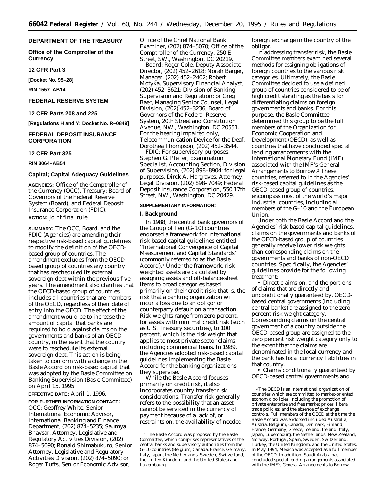### **DEPARTMENT OF THE TREASURY**

**Office of the Comptroller of the Currency**

**12 CFR Part 3**

**[Docket No. 95–28]**

**RIN 1557–AB14**

# **FEDERAL RESERVE SYSTEM**

## **12 CFR Parts 208 and 225**

**[Regulations H and Y; Docket No. R–0849]**

# **FEDERAL DEPOSIT INSURANCE CORPORATION**

#### **12 CFR Part 325**

#### **RIN 3064–AB54**

#### **Capital; Capital Adequacy Guidelines**

**AGENCIES:** Office of the Comptroller of the Currency (OCC), Treasury; Board of Governors of the Federal Reserve System (Board); and Federal Deposit Insurance Corporation (FDIC). **ACTION:** Joint final rule.

**SUMMARY:** The OCC, Board, and the FDIC (Agencies) are amending their respective risk-based capital guidelines to modify the definition of the OECDbased group of countries. The amendment excludes from the OECDbased group of countries any country that has rescheduled its external sovereign debt within the previous five years. The amendment also clarifies that the OECD-based group of countries includes all countries that are members of the OECD, regardless of their date of entry into the OECD. The effect of the amendment would be to increase the amount of capital that banks are required to hold against claims on the governments and banks of an OECD country, in the event that the country were to reschedule its external sovereign debt. This action is being taken to conform with a change in the Basle Accord on risk-based capital that was adopted by the Basle Committee on Banking Supervision (Basle Committee) on April 15, 1995.

#### **EFFECTIVE DATE:** April 1, 1996.

**FOR FURTHER INFORMATION CONTACT:** *OCC:* Geoffrey White, Senior International Economic Advisor, International Banking and Finance Department, (202) 874–5235; Saumya Bhavsar, Attorney, Legislative and Regulatory Activities Division, (202) 874–5090; Ronald Shimabukuro, Senior Attorney, Legislative and Regulatory Activities Division, (202) 874–5090; or Roger Tufts, Senior Economic Advisor,

Office of the Chief National Bank Examiner, (202) 874–5070; Office of the Comptroller of the Currency, 250 E Street, SW., Washington, DC 20219.

*Board:* Roger Cole, Deputy Associate Director, (202) 452–2618; Norah Barger, Manager, (202) 452–2402; Robert Motyka, Supervisory Financial Analyst, (202) 452–3621; Division of Banking Supervision and Regulation; or Greg Baer, Managing Senior Counsel, Legal Division, (202) 452–3236; Board of Governors of the Federal Reserve System, 20th Street and Constitution Avenue, NW., Washington, DC 20551. For the hearing impaired *only,* Telecommunication Device for the Deaf, Dorothea Thompson, (202) 452–3544.

*FDIC:* For supervisory purposes, Stephen G. Pfeifer, Examination Specialist, Accounting Section, Division of Supervision, (202) 898–8904; for legal purposes, Dirck A. Hargraves, Attorney, Legal Division, (202) 898–7049; Federal Deposit Insurance Corporation, 550 17th Street, NW., Washington, DC 20429.

#### **SUPPLEMENTARY INFORMATION:**

# **I. Background**

In 1988, the central bank governors of the Group of Ten (G–10) countries endorsed a framework for international risk-based capital guidelines entitled ''International Convergence of Capital Measurement and Capital Standards'' (commonly referred to as the Basle Accord).1 Under the framework, riskweighted assets are calculated by assigning assets and off-balance-sheet items to broad categories based primarily on their credit risk: that is, the risk that a banking organization will incur a loss due to an obligor or counterparty default on a transaction. Risk weights range from zero percent, for assets with minimal credit risk (such as U.S. Treasury securities), to 100 percent, which is the risk weight that applies to most private sector claims, including commercial loans. In 1989, the Agencies adopted risk-based capital guidelines implementing the Basle Accord for the banking organizations they supervise.

While the Basle Accord focuses primarily on credit risk, it also incorporates country transfer risk considerations. Transfer risk generally refers to the possibility that an asset cannot be serviced in the currency of payment because of a lack of, or restraints on, the availability of needed foreign exchange in the country of the obligor.

In addressing transfer risk, the Basle Committee members examined several methods for assigning obligations of foreign countries to the various risk categories. Ultimately, the Basle Committee decided to use a defined group of countries considered to be of high credit standing as the basis for differentiating claims on foreign governments and banks. For this purpose, the Basle Committee determined this group to be the full members of the Organization for Economic Cooperation and Development (OECD), as well as countries that have concluded special lending arrangements with the International Monetary Fund (IMF) associated with the IMF's General Arrangements to Borrow.2 These countries, referred to in the Agencies' risk-based capital guidelines as the OECD-based group of countries, encompass most of the world's major industrial countries, including all members of the G–10 and the European Union.

Under both the Basle Accord and the Agencies' risk-based capital guidelines, claims on the governments and banks of the OECD-based group of countries generally receive lower risk weights than corresponding claims on the governments and banks of non-OECD countries. Specifically, the Agencies' guidelines provide for the following treatment:

• Direct claims on, and the portions of claims that are directly and unconditionally guaranteed by, OECDbased central governments (including central banks) are assigned to the zero percent risk weight category. Corresponding claims on the central government of a country outside the OECD-based group are assigned to the zero percent risk weight category only to the extent that the claims are denominated in the local currency and the bank has local currency liabilities in that country.

• Claims conditionally guaranteed by OECD-based central governments and

<sup>&</sup>lt;sup>1</sup>The Basle Accord was proposed by the Basle Committee, which comprises representatives of the central banks and supervisory authorities from the G–10 countries (Belgium, Canada, France, Germany, Italy, Japan, the Netherlands, Sweden, Switzerland, the United Kingdom, and the United States) and Luxembourg.

 $\,{}^2\mathrm{The}\,{}$  OECD is an international organization of countries which are committed to market-oriented economic policies, including the promotion of private enterprise and free market prices; liberal trade policies; and the absence of exchange controls. Full members of the OECD at the time the Basle Accord was endorsed included Australia, Austria, Belgium, Canada, Denmark, Finland, France, Germany, Greece, Iceland, Ireland, Italy, Japan, Luxembourg, the Netherlands, New Zealand, Norway, Portugal, Spain, Sweden, Switzerland, Turkey, the United Kingdom, and the United States. In May 1994, Mexico was accepted as a full member of the OECD. In addition, Saudi Arabia has concluded special lending arrangements associated with the IMF's General Arrangements to Borrow.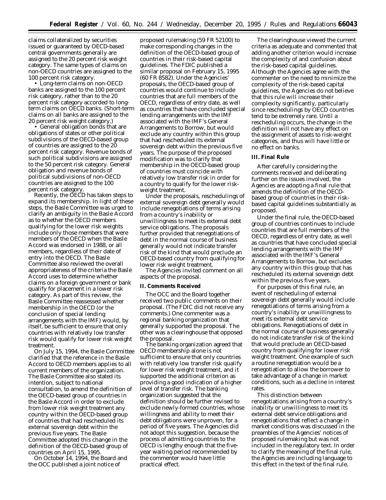claims collateralized by securities issued or guaranteed by OECD-based central governments generally are assigned to the 20 percent risk weight category. The same types of claims on non-OECD countries are assigned to the 100 percent risk category.

• Long-term claims on non-OECD banks are assigned to the 100 percent risk category, rather than to the 20 percent risk category accorded to longterm claims on OECD banks. (Short-term claims on all banks are assigned to the 20 percent risk weight category.)

• General obligation bonds that are obligations of states or other political subdivisions of the OECD-based group of countries are assigned to the 20 percent risk category. Revenue bonds of such political subdivisions are assigned to the 50 percent risk category. General obligation and revenue bonds of political subdivisions of non-OECD countries are assigned to the 100 percent risk category.

Recently, the OECD has taken steps to expand its membership. In light of these steps, the Basle Committee was urged to clarify an ambiguity in the Basle Accord as to whether the OECD members qualifying for the lower risk weights include only those members that were members of the OECD when the Basle Accord was endorsed in 1988, or all members, regardless of their date of entry into the OECD. The Basle Committee also reviewed the overall appropriateness of the criteria the Basle Accord uses to determine whether claims on a foreign government or bank qualify for placement in a lower risk category. As part of this review, the Basle Committee reassessed whether membership in the OECD (or the conclusion of special lending arrangements with the IMF) would, by itself, be sufficient to ensure that only countries with relatively low transfer risk would qualify for lower risk weight treatment.

On July 15, 1994, the Basle Committee clarified that the reference in the Basle Accord to OECD members applies to all current members of the organization. The Basle Committee also stated its intention, subject to national consultation, to amend the definition of the OECD-based group of countries in the Basle Accord in order to exclude from lower risk weight treatment any country within the OECD-based group of countries that had rescheduled its external sovereign debt within the previous five years. The Basle Committee adopted this change in the definition of the OECD-based group of countries on April 15, 1995.

On October 14, 1994, the Board and the OCC published a joint notice of

proposed rulemaking (59 FR 52100) to make corresponding changes in the definition of the OECD-based group of countries in their risk-based capital guidelines. The FDIC published a similar proposal on February 15, 1995 (60 FR 8582). Under the Agencies' proposals, the OECD-based group of countries would continue to include countries that are full members of the OECD, regardless of entry date, as well as countries that have concluded special lending arrangements with the IMF associated with the IMF's General Arrangements to Borrow, but would exclude any country within this group that had rescheduled its external sovereign debt within the previous five years. The purpose of the proposed modification was to clarify that membership in the OECD-based group of countries must coincide with relatively low transfer risk in order for a country to qualify for the lower riskweight treatment.

Under the proposals, reschedulings of external sovereign debt generally would include renegotiations of terms arising from a country's inability or unwillingness to meet its external debt service obligations. The proposals further provided that renegotiations of debt in the normal course of business generally would not indicate transfer risk of the kind that would preclude an OECD-based country from qualifying for lower risk weight treatment.

The Agencies invited comment on all aspects of the proposal.

#### **II. Comments Received**

The OCC and the Board together received two public comments on their proposal. (The FDIC did not receive any comments.) One commenter was a regional banking organization that generally supported the proposal. The other was a clearinghouse that opposed the proposal.

The banking organization agreed that OECD membership alone is not sufficient to ensure that only countries with relatively low transfer risk qualify for lower risk weight treatment, and it supported the additional criterion as providing a good indication of a higher level of transfer risk. The banking organization suggested that the definition should be further revised to exclude newly-formed countries, whose willingness and ability to meet their debt obligations were unproven, for a period of five years. The Agencies did not adopt this suggestion, because the process of admitting countries to the OECD is lengthy enough that the fiveyear waiting period recommended by the commenter would have little practical effect.

The clearinghouse viewed the current criteria as adequate and commented that adding another criterion would increase the complexity of and confusion about the risk-based capital guidelines. Although the Agencies agree with the commenter on the need to minimize the complexity of the risk-based capital guidelines, the Agencies do not believe that this rule will increase their complexity significantly, particularly since reschedulings by OECD countries tend to be extremely rare. Until a rescheduling occurs, the change in the definition will not have any effect on the assignment of assets to risk-weight categories, and thus will have little or no effect on banks.

## **III. Final Rule**

After carefully considering the comments received and deliberating further on the issues involved, the Agencies are adopting a final rule that amends the definition of the OECDbased group of countries in their riskbased capital guidelines substantially as proposed.

Under the final rule, the OECD-based group of countries continues to include countries that are full members of the OECD, regardless of entry date, as well as countries that have concluded special lending arrangements with the IMF associated with the IMF's General Arrangements to Borrow, but excludes any country within this group that has rescheduled its external sovereign debt within the previous five years.

For purposes of this final rule, an event of rescheduling of external sovereign debt generally would include renegotiations of terms arising from a country's inability or unwillingness to meet its external debt service obligations. Renegotiations of debt in the normal course of business generally do not indicate transfer risk of the kind that would preclude an OECD-based country from qualifying for lower risk weight treatment. One example of such a routine renegotiation would be a renegotiation to allow the borrower to take advantage of a change in market conditions, such as a decline in interest rates.

This distinction between renegotiations arising from a country's inability or unwillingness to meet its external debt service obligations and renegotiations that reflect a change in market conditions was discussed in the preambles of the Agencies' notices of proposed rulemaking but was not included in the regulatory text. In order to clarify the meaning of the final rule, the Agencies are including language to this effect in the text of the final rule.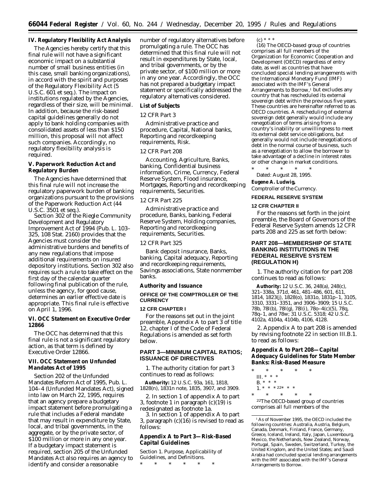#### **IV. Regulatory Flexibility Act Analysis**

The Agencies hereby certify that this final rule will not have a significant economic impact on a substantial number of small business entities (in this case, small banking organizations), in accord with the spirit and purposes of the Regulatory Flexibility Act (5 U.S.C. 601 *et seq.*). The impact on institutions regulated by the Agencies, regardless of their size, will be minimal. In addition, because the risk-based capital guidelines generally do not apply to bank holding companies with consolidated assets of less than \$150 million, this proposal will not affect such companies. Accordingly, no regulatory flexibility analysis is required.

**V. Paperwork Reduction Act and Regulatory Burden**

The Agencies have determined that this final rule will not increase the regulatory paperwork burden of banking organizations pursuant to the provisions of the Paperwork Reduction Act (44 U.S.C. 3501 *et seq.*).

Section 302 of the Riegle Community Development and Regulatory Improvement Act of 1994 (Pub. L. 103– 325, 108 Stat. 2160) provides that the Agencies must consider the administrative burdens and benefits of any new regulations that impose additional requirements on insured depository institutions. Section 302 also requires such a rule to take effect on the first day of the calendar quarter following final publication of the rule, unless the agency, for good cause, determines an earlier effective date is appropriate. This final rule is effective on April 1, 1996.

**VI. OCC Statement on Executive Order 12866**

The OCC has determined that this final rule is not a significant regulatory action, as that term is defined by Executive Order 12866.

## **VII. OCC Statement on Unfunded Mandates Act of 1995**

Section 202 of the Unfunded Mandates Reform Act of 1995, Pub. L. 104–4 (Unfunded Mandates Act), signed into law on March 22, 1995, requires that an agency prepare a budgetary impact statement before promulgating a rule that includes a Federal mandate that may result in expenditure by State, local, and tribal governments, in the aggregate, or by the private sector, of \$100 million or more in any one year. If a budgetary impact statement is required, section 205 of the Unfunded Mandates Act also requires an agency to identify and consider a reasonable

number of regulatory alternatives before promulgating a rule. The OCC has determined that this final rule will not result in expenditures by State, local, and tribal governments, or by the private sector, of \$100 million or more in any one year. Accordingly, the OCC has not prepared a budgetary impact statement or specifically addressed the regulatory alternatives considered.

#### **List of Subjects**

#### *12 CFR Part 3*

Administrative practice and procedure, Capital, National banks, Reporting and recordkeeping requirements, Risk.

# *12 CFR Part 208*

Accounting, Agriculture, Banks, banking, Confidential business information, Crime, Currency, Federal Reserve System, Flood insurance, Mortgages, Reporting and recordkeeping requirements, Securities.

#### *12 CFR Part 225*

Administrative practice and procedure, Banks, banking, Federal Reserve System, Holding companies, Reporting and recordkeeping requirements, Securities.

#### *12 CFR Part 325*

Bank deposit insurance, Banks, banking, Capital adequacy, Reporting and recordkeeping requirements, Savings associations, State nonmember banks.

**Authority and Issuance**

#### **OFFICE OF THE COMPTROLLER OF THE CURRENCY**

#### **12 CFR CHAPTER I**

For the reasons set out in the joint preamble, Appendix A to part 3 of title 12, chapter I of the Code of Federal Regulations is amended as set forth below.

# **PART 3—MINIMUM CAPITAL RATIOS; ISSUANCE OF DIRECTIVES**

1. The authority citation for part 3 continues to read as follows:

**Authority:** 12 U.S.C. 93a, 161, 1818, 1828(n), 1831n note, 1835, 3907, and 3909.

2. In section 1 of appendix A to part 3, footnote 1 in paragraph (c)(19) is redesignated as footnote 1a.

3. In section 1 of appendix A to part 3, paragraph (c)(16) is revised to read as follows:

**Appendix A to Part 3—Risk-Based Capital Guidelines**

*Section 1. Purpose, Applicability of Guidelines, and Definitions.* \* \* \* \* \* \*

(c) \* \* \*

(16) The *OECD-based group of countries* comprises all full members of the Organization for Economic Cooperation and Development (OECD) regardless of entry date, as well as countries that have concluded special lending arrangements with the International Monetary Fund (IMF) associated with the IMF's General Arrangements to Borrow,<sup>1</sup> but excludes any country that has rescheduled its external sovereign debt within the previous five years. These countries are hereinafter referred to as *OECD countries.* A rescheduling of external sovereign debt generally would include any renegotiation of terms arising from a country's inability or unwillingness to meet its external debt service obligations, but generally would not include renegotiations of debt in the normal course of business, such as a renegotiation to allow the borrower to take advantage of a decline in interest rates or other change in market conditions.

\* \* \* \* \* Dated: August 28, 1995. **Eugene A. Ludwig,** *Comptroller of the Currency.*

#### **FEDERAL RESERVE SYSTEM**

#### **12 CFR CHAPTER II**

For the reasons set forth in the joint preamble, the Board of Governors of the Federal Reserve System amends 12 CFR parts 208 and 225 as set forth below:

# **PART 208—MEMBERSHIP OF STATE BANKING INSTITUTIONS IN THE FEDERAL RESERVE SYSTEM (REGULATION H)**

1. The authority citation for part 208 continues to read as follows:

**Authority:** 12 U.S.C. 36, 248(a), 248(c), 321–338a, 371d, 461, 481–486, 601, 611, 1814, 1823(j), 1828(o), 1831o, 1831p–1, 3105, 3310, 3331–3351, and 3906–3909; 15 U.S.C. 78b, 78l(b), 78l(g), 78l(i), 78o–4(c)(5), 78q, 78q–1, and 78w; 31 U.S.C. 5318; 42 U.S.C. 4102a, 4104a, 4104b, 4106, 4128.

2. Appendix A to part 208 is amended by revising footnote 22 in section III.B.1. to read as follows:

**Appendix A to Part 208—Capital Adequacy Guidelines for State Member Banks: Risk-Based Measure**

- \* \* \* \* \* III. \* \* \*
- B. \* \* \*
- 1. \* \* \* 22\* \* \*

\* \* \* \* \* 22The OECD-based group of countries comprises all full members of the

1As of November 1995, the OECD included the following countries: Australia, Austria, Belgium, Canada, Denmark, Finland, France, Germany, Greece, Iceland, Ireland, Italy, Japan, Luxembourg, Mexico, the Netherlands, New Zealand, Norway, Portugal, Spain, Sweden, Switzerland, Turkey, the United Kingdom, and the United States; and Saudi Arabia had concluded special lending arrangements with the IMF associated with the IMF's General Arrangements to Borrow.